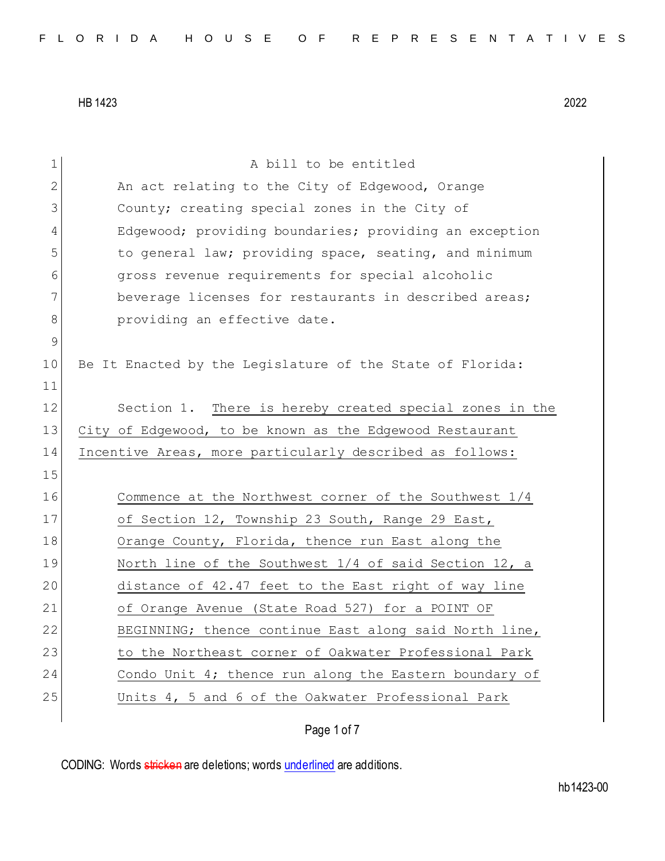| $\mathbf 1$ | A bill to be entitled                                     |
|-------------|-----------------------------------------------------------|
| 2           | An act relating to the City of Edgewood, Orange           |
| 3           | County; creating special zones in the City of             |
| 4           | Edgewood; providing boundaries; providing an exception    |
| 5           | to general law; providing space, seating, and minimum     |
| 6           | gross revenue requirements for special alcoholic          |
| 7           | beverage licenses for restaurants in described areas;     |
| 8           | providing an effective date.                              |
| $\mathsf 9$ |                                                           |
| 10          | Be It Enacted by the Legislature of the State of Florida: |
| 11          |                                                           |
| 12          | Section 1. There is hereby created special zones in the   |
| 13          | City of Edgewood, to be known as the Edgewood Restaurant  |
| 14          | Incentive Areas, more particularly described as follows:  |
| 15          |                                                           |
| 16          | Commence at the Northwest corner of the Southwest 1/4     |
| 17          | of Section 12, Township 23 South, Range 29 East,          |
| 18          | Orange County, Florida, thence run East along the         |
| 19          | North line of the Southwest $1/4$ of said Section 12, a   |
| 20          | distance of 42.47 feet to the East right of way line      |
| 21          | of Orange Avenue (State Road 527) for a POINT OF          |
| 22          | BEGINNING; thence continue East along said North line,    |
| 23          | to the Northeast corner of Oakwater Professional Park     |
|             |                                                           |
| 24          | Condo Unit 4; thence run along the Eastern boundary of    |
| 25          | Units 4, 5 and 6 of the Oakwater Professional Park        |

Page 1 of 7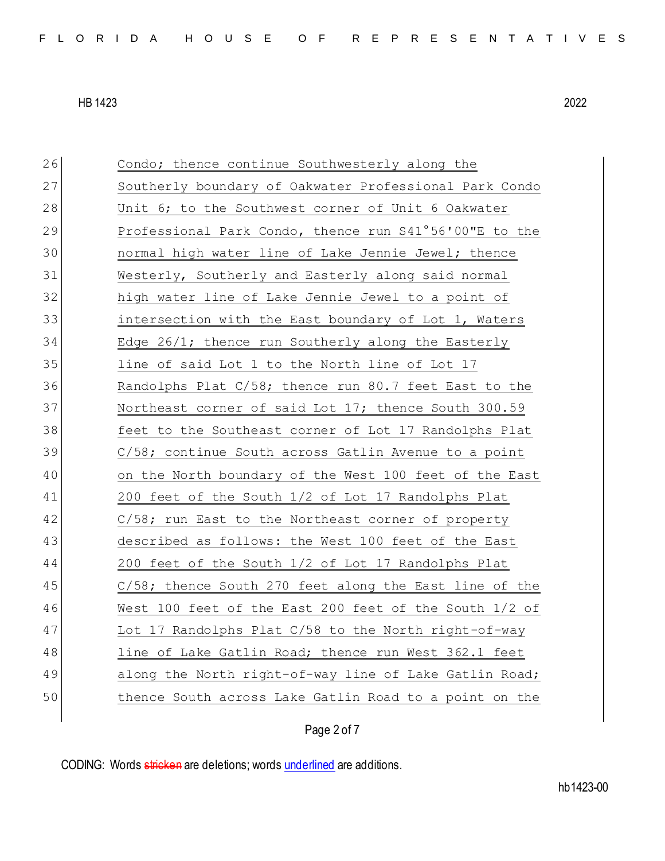26 Condo; thence continue Southwesterly along the 27 Southerly boundary of Oakwater Professional Park Condo 28 Unit 6; to the Southwest corner of Unit 6 Oakwater 29 Professional Park Condo, thence run S41°56'00"E to the 30 normal high water line of Lake Jennie Jewel; thence 31 Westerly, Southerly and Easterly along said normal 32 high water line of Lake Jennie Jewel to a point of 33 intersection with the East boundary of Lot 1, Waters 34 Edge 26/1; thence run Southerly along the Easterly 35 line of said Lot 1 to the North line of Lot 17 36 Randolphs Plat C/58; thence run 80.7 feet East to the 37 Northeast corner of said Lot 17; thence South 300.59 38 feet to the Southeast corner of Lot 17 Randolphs Plat 39 C/58; continue South across Gatlin Avenue to a point 40 on the North boundary of the West 100 feet of the East 41 200 feet of the South 1/2 of Lot 17 Randolphs Plat 42 C/58; run East to the Northeast corner of property 43 described as follows: the West 100 feet of the East 44 200 feet of the South 1/2 of Lot 17 Randolphs Plat 45 C/58; thence South 270 feet along the East line of the 46 West 100 feet of the East 200 feet of the South 1/2 of 47 Lot 17 Randolphs Plat C/58 to the North right-of-way 48 line of Lake Gatlin Road; thence run West 362.1 feet 49 along the North right-of-way line of Lake Gatlin Road; 50 thence South across Lake Gatlin Road to a point on the

## Page 2 of 7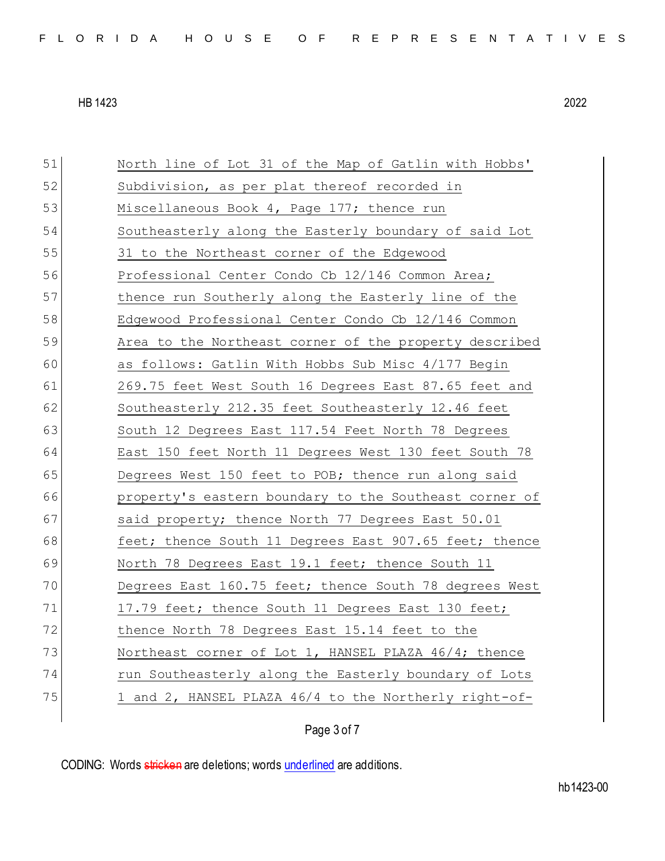| 51 | North line of Lot 31 of the Map of Gatlin with Hobbs'  |
|----|--------------------------------------------------------|
| 52 | Subdivision, as per plat thereof recorded in           |
| 53 | Miscellaneous Book 4, Page 177; thence run             |
| 54 | Southeasterly along the Easterly boundary of said Lot  |
| 55 | 31 to the Northeast corner of the Edgewood             |
| 56 | Professional Center Condo Cb 12/146 Common Area;       |
| 57 | thence run Southerly along the Easterly line of the    |
| 58 | Edgewood Professional Center Condo Cb 12/146 Common    |
| 59 | Area to the Northeast corner of the property described |
| 60 | as follows: Gatlin With Hobbs Sub Misc 4/177 Begin     |
| 61 | 269.75 feet West South 16 Degrees East 87.65 feet and  |
| 62 | Southeasterly 212.35 feet Southeasterly 12.46 feet     |
| 63 | South 12 Degrees East 117.54 Feet North 78 Degrees     |
| 64 | East 150 feet North 11 Degrees West 130 feet South 78  |
| 65 | Degrees West 150 feet to POB; thence run along said    |
| 66 | property's eastern boundary to the Southeast corner of |
| 67 | said property; thence North 77 Degrees East 50.01      |
| 68 | feet; thence South 11 Degrees East 907.65 feet; thence |
| 69 | North 78 Degrees East 19.1 feet; thence South 11       |
| 70 | Degrees East 160.75 feet; thence South 78 degrees West |
| 71 | 17.79 feet; thence South 11 Degrees East 130 feet;     |
| 72 | thence North 78 Degrees East 15.14 feet to the         |
| 73 | Northeast corner of Lot 1, HANSEL PLAZA 46/4; thence   |
| 74 | run Southeasterly along the Easterly boundary of Lots  |
| 75 | 1 and 2, HANSEL PLAZA 46/4 to the Northerly right-of-  |
|    |                                                        |

Page 3 of 7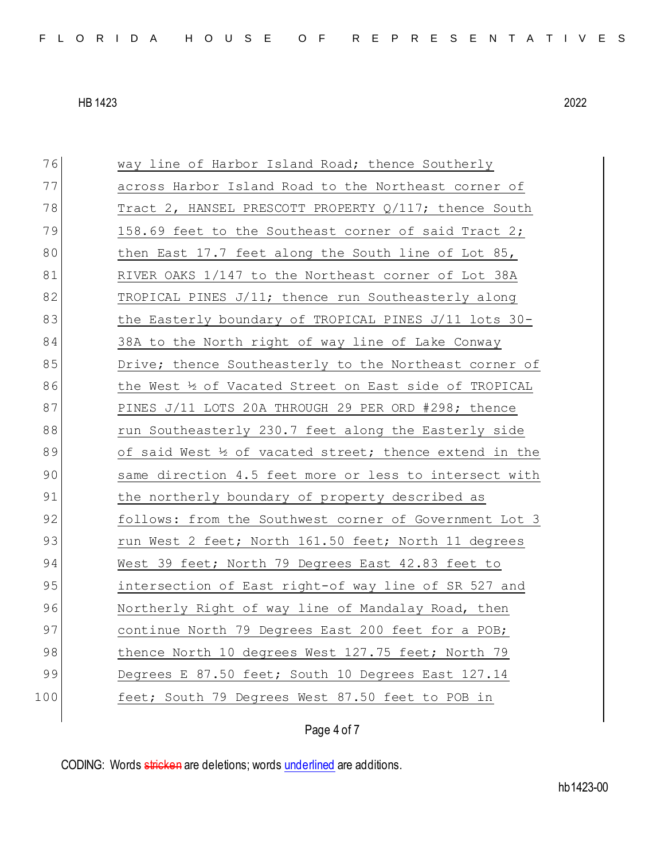76 way line of Harbor Island Road; thence Southerly 77 across Harbor Island Road to the Northeast corner of 78 Tract 2, HANSEL PRESCOTT PROPERTY Q/117; thence South  $79$  158.69 feet to the Southeast corner of said Tract 2; 80 then East 17.7 feet along the South line of Lot 85, 81 RIVER OAKS 1/147 to the Northeast corner of Lot 38A 82 TROPICAL PINES J/11; thence run Southeasterly along 83 the Easterly boundary of TROPICAL PINES J/11 lots 30-84 38A to the North right of way line of Lake Conway 85 Drive; thence Southeasterly to the Northeast corner of 86 the West ½ of Vacated Street on East side of TROPICAL 87 PINES J/11 LOTS 20A THROUGH 29 PER ORD #298; thence 88 run Southeasterly 230.7 feet along the Easterly side 89 of said West  $\frac{1}{2}$  of vacated street; thence extend in the 90 same direction 4.5 feet more or less to intersect with 91 bhe northerly boundary of property described as 92 follows: from the Southwest corner of Government Lot 3 93 run West 2 feet; North 161.50 feet; North 11 degrees 94 West 39 feet; North 79 Degrees East 42.83 feet to 95 intersection of East right-of way line of SR 527 and 96 Northerly Right of way line of Mandalay Road, then 97 continue North 79 Degrees East 200 feet for a POB; 98 thence North 10 degrees West 127.75 feet; North 79 99 Degrees E 87.50 feet; South 10 Degrees East 127.14 100 feet; South 79 Degrees West 87.50 feet to POB in

Page 4 of 7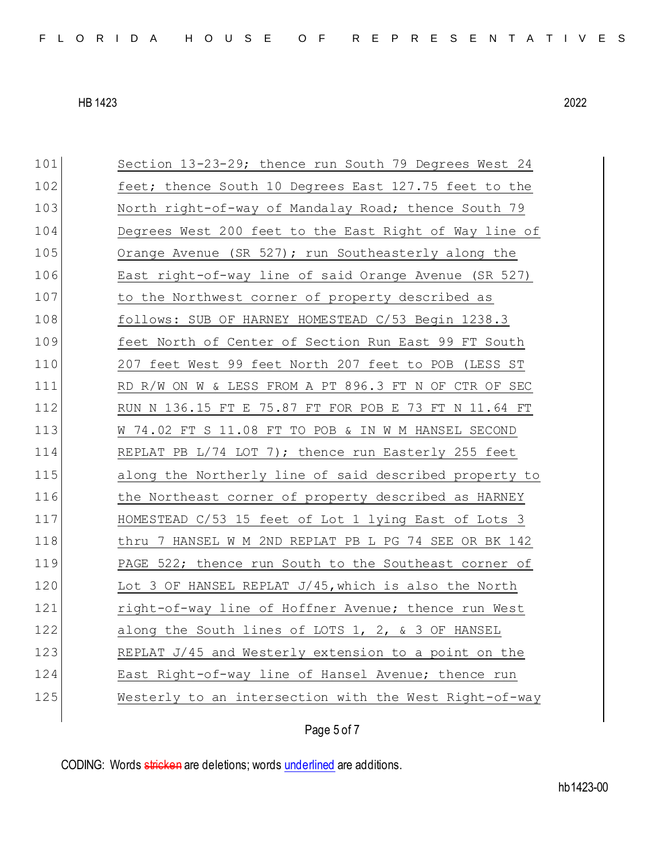| 101 | Section 13-23-29; thence run South 79 Degrees West 24  |
|-----|--------------------------------------------------------|
| 102 | feet; thence South 10 Degrees East 127.75 feet to the  |
| 103 | North right-of-way of Mandalay Road; thence South 79   |
| 104 | Degrees West 200 feet to the East Right of Way line of |
| 105 | Orange Avenue (SR 527); run Southeasterly along the    |
| 106 | East right-of-way line of said Orange Avenue (SR 527)  |
| 107 | to the Northwest corner of property described as       |
| 108 | follows: SUB OF HARNEY HOMESTEAD C/53 Begin 1238.3     |
| 109 | feet North of Center of Section Run East 99 FT South   |
| 110 | 207 feet West 99 feet North 207 feet to POB (LESS ST   |
| 111 | RD R/W ON W & LESS FROM A PT 896.3 FT N OF CTR OF SEC  |
| 112 | RUN N 136.15 FT E 75.87 FT FOR POB E 73 FT N 11.64 FT  |
| 113 | W 74.02 FT S 11.08 FT TO POB & IN W M HANSEL SECOND    |
|     |                                                        |
| 114 | REPLAT PB L/74 LOT 7); thence run Easterly 255 feet    |
| 115 | along the Northerly line of said described property to |
| 116 | the Northeast corner of property described as HARNEY   |
| 117 | HOMESTEAD C/53 15 feet of Lot 1 lying East of Lots 3   |
| 118 | thru 7 HANSEL W M 2ND REPLAT PB L PG 74 SEE OR BK 142  |
| 119 | PAGE 522; thence run South to the Southeast corner of  |
| 120 | Lot 3 OF HANSEL REPLAT J/45, which is also the North   |
| 121 | right-of-way line of Hoffner Avenue; thence run West   |
| 122 | along the South lines of LOTS 1, 2, & 3 OF HANSEL      |
| 123 | REPLAT J/45 and Westerly extension to a point on the   |
| 124 | East Right-of-way line of Hansel Avenue; thence run    |
| 125 | Westerly to an intersection with the West Right-of-way |

Page 5 of 7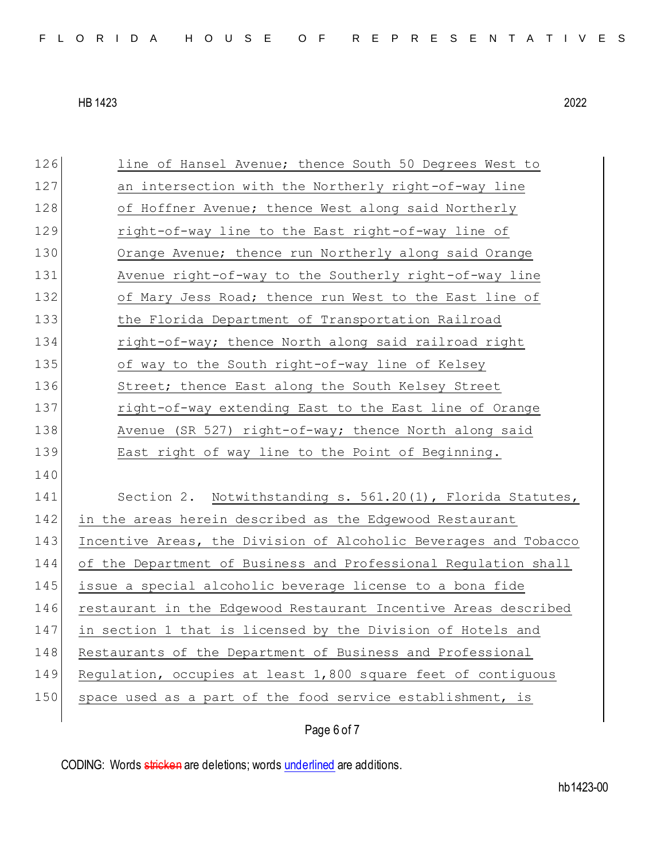126 line of Hansel Avenue; thence South 50 Degrees West to 127 an intersection with the Northerly right-of-way line 128 of Hoffner Avenue; thence West along said Northerly 129 right-of-way line to the East right-of-way line of 130 Orange Avenue; thence run Northerly along said Orange 131 Avenue right-of-way to the Southerly right-of-way line 132 of Mary Jess Road; thence run West to the East line of 133 the Florida Department of Transportation Railroad 134 right-of-way; thence North along said railroad right 135 of way to the South right-of-way line of Kelsey 136 Street; thence East along the South Kelsey Street 137 right-of-way extending East to the East line of Orange 138 Avenue (SR 527) right-of-way; thence North along said 139 East right of way line to the Point of Beginning. 140 141 Section 2. Notwithstanding s. 561.20(1), Florida Statutes, 142 in the areas herein described as the Edgewood Restaurant 143 Incentive Areas, the Division of Alcoholic Beverages and Tobacco 144 of the Department of Business and Professional Regulation shall 145 issue a special alcoholic beverage license to a bona fide 146 restaurant in the Edgewood Restaurant Incentive Areas described 147 in section 1 that is licensed by the Division of Hotels and 148 Restaurants of the Department of Business and Professional 149 Regulation, occupies at least 1,800 square feet of contiguous 150 space used as a part of the food service establishment, is

Page 6 of 7